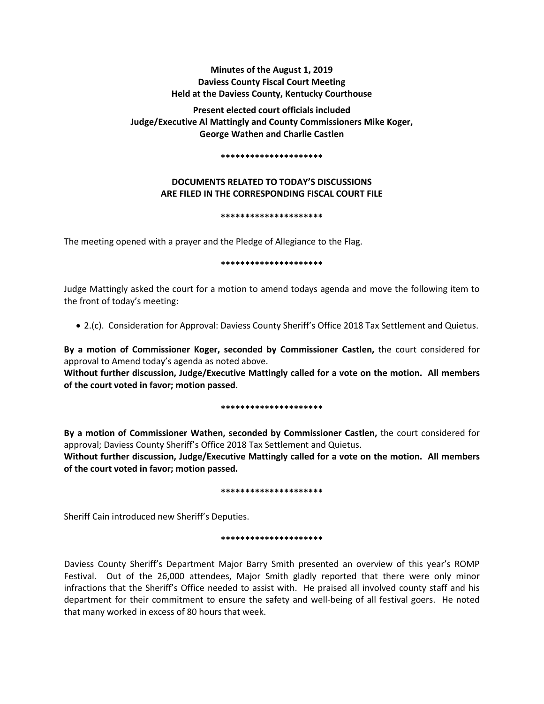# **Minutes of the August 1, 2019 Daviess County Fiscal Court Meeting Held at the Daviess County, Kentucky Courthouse**

**Present elected court officials included Judge/Executive Al Mattingly and County Commissioners Mike Koger, George Wathen and Charlie Castlen** 

## **\*\*\*\*\*\*\*\*\*\*\*\*\*\*\*\*\*\*\*\*\***

# **DOCUMENTS RELATED TO TODAY'S DISCUSSIONS ARE FILED IN THE CORRESPONDING FISCAL COURT FILE**

## **\*\*\*\*\*\*\*\*\*\*\*\*\*\*\*\*\*\*\*\*\***

The meeting opened with a prayer and the Pledge of Allegiance to the Flag.

# **\*\*\*\*\*\*\*\*\*\*\*\*\*\*\*\*\*\*\*\*\***

Judge Mattingly asked the court for a motion to amend todays agenda and move the following item to the front of today's meeting:

• 2.(c). Consideration for Approval: Daviess County Sheriff's Office 2018 Tax Settlement and Quietus.

**By a motion of Commissioner Koger, seconded by Commissioner Castlen,** the court considered for approval to Amend today's agenda as noted above.

**Without further discussion, Judge/Executive Mattingly called for a vote on the motion. All members of the court voted in favor; motion passed.** 

# **\*\*\*\*\*\*\*\*\*\*\*\*\*\*\*\*\*\*\*\*\***

**By a motion of Commissioner Wathen, seconded by Commissioner Castlen,** the court considered for approval; Daviess County Sheriff's Office 2018 Tax Settlement and Quietus.

**Without further discussion, Judge/Executive Mattingly called for a vote on the motion. All members of the court voted in favor; motion passed.** 

## **\*\*\*\*\*\*\*\*\*\*\*\*\*\*\*\*\*\*\*\*\***

Sheriff Cain introduced new Sheriff's Deputies.

# **\*\*\*\*\*\*\*\*\*\*\*\*\*\*\*\*\*\*\*\*\***

Daviess County Sheriff's Department Major Barry Smith presented an overview of this year's ROMP Festival. Out of the 26,000 attendees, Major Smith gladly reported that there were only minor infractions that the Sheriff's Office needed to assist with. He praised all involved county staff and his department for their commitment to ensure the safety and well-being of all festival goers. He noted that many worked in excess of 80 hours that week.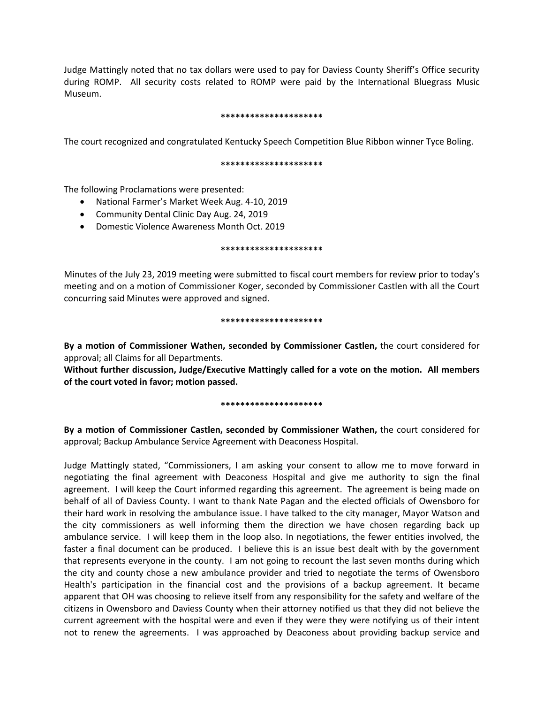Judge Mattingly noted that no tax dollars were used to pay for Daviess County Sheriff's Office security during ROMP. All security costs related to ROMP were paid by the International Bluegrass Music Museum.

# **\*\*\*\*\*\*\*\*\*\*\*\*\*\*\*\*\*\*\*\*\***

The court recognized and congratulated Kentucky Speech Competition Blue Ribbon winner Tyce Boling.

## **\*\*\*\*\*\*\*\*\*\*\*\*\*\*\*\*\*\*\*\*\***

The following Proclamations were presented:

- National Farmer's Market Week Aug. 4-10, 2019
- Community Dental Clinic Day Aug. 24, 2019
- Domestic Violence Awareness Month Oct. 2019

## **\*\*\*\*\*\*\*\*\*\*\*\*\*\*\*\*\*\*\*\*\***

Minutes of the July 23, 2019 meeting were submitted to fiscal court members for review prior to today's meeting and on a motion of Commissioner Koger, seconded by Commissioner Castlen with all the Court concurring said Minutes were approved and signed.

# **\*\*\*\*\*\*\*\*\*\*\*\*\*\*\*\*\*\*\*\*\***

**By a motion of Commissioner Wathen, seconded by Commissioner Castlen,** the court considered for approval; all Claims for all Departments.

**Without further discussion, Judge/Executive Mattingly called for a vote on the motion. All members of the court voted in favor; motion passed.** 

## **\*\*\*\*\*\*\*\*\*\*\*\*\*\*\*\*\*\*\*\*\***

**By a motion of Commissioner Castlen, seconded by Commissioner Wathen,** the court considered for approval; Backup Ambulance Service Agreement with Deaconess Hospital.

Judge Mattingly stated, "Commissioners, I am asking your consent to allow me to move forward in negotiating the final agreement with Deaconess Hospital and give me authority to sign the final agreement. I will keep the Court informed regarding this agreement. The agreement is being made on behalf of all of Daviess County. I want to thank Nate Pagan and the elected officials of Owensboro for their hard work in resolving the ambulance issue. I have talked to the city manager, Mayor Watson and the city commissioners as well informing them the direction we have chosen regarding back up ambulance service. I will keep them in the loop also. In negotiations, the fewer entities involved, the faster a final document can be produced. I believe this is an issue best dealt with by the government that represents everyone in the county. I am not going to recount the last seven months during which the city and county chose a new ambulance provider and tried to negotiate the terms of Owensboro Health's participation in the financial cost and the provisions of a backup agreement. It became apparent that OH was choosing to relieve itself from any responsibility for the safety and welfare of the citizens in Owensboro and Daviess County when their attorney notified us that they did not believe the current agreement with the hospital were and even if they were they were notifying us of their intent not to renew the agreements. I was approached by Deaconess about providing backup service and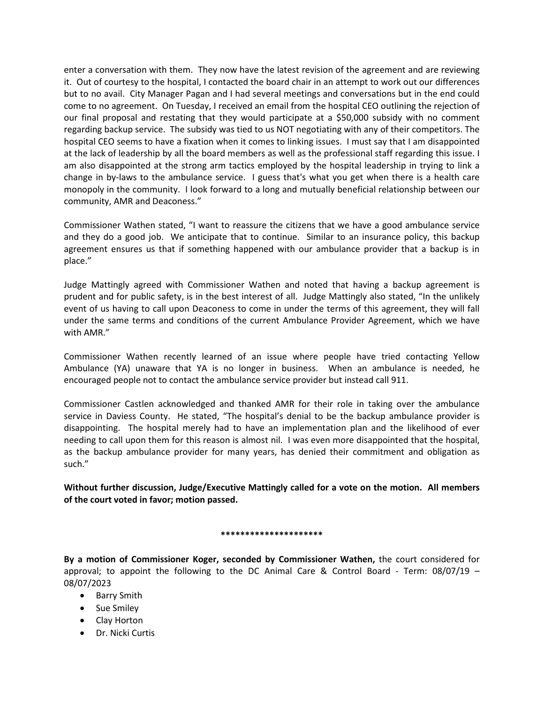enter a conversation with them. They now have the latest revision of the agreement and are reviewing it. Out of courtesy to the hospital, I contacted the board chair in an attempt to work out our differences but to no avail. City Manager Pagan and I had several meetings and conversations but in the end could come to no agreement. On Tuesday, I received an email from the hospital CEO outlining the rejection of our final proposal and restating that they would participate at a \$50,000 subsidy with no comment regarding backup service. The subsidy was tied to us NOT negotiating with any of their competitors. The hospital CEO seems to have a fixation when it comes to linking issues. I must say that I am disappointed at the lack of leadership by all the board members as well as the professional staff regarding this issue. I am also disappointed at the strong arm tactics employed by the hospital leadership in trying to link a change in by-laws to the ambulance service. I guess that's what you get when there is a health care monopoly in the community. I look forward to a long and mutually beneficial relationship between our community, AMR and Deaconess."

Commissioner Wathen stated, "I want to reassure the citizens that we have a good ambulance service and they do a good job. We anticipate that to continue. Similar to an insurance policy, this backup agreement ensures us that if something happened with our ambulance provider that a backup is in place."

Judge Mattingly agreed with Commissioner Wathen and noted that having a backup agreement is prudent and for public safety, is in the best interest of all. Judge Mattingly also stated, "In the unlikely event of us having to call upon Deaconess to come in under the terms of this agreement, they will fall under the same terms and conditions of the current Ambulance Provider Agreement, which we have with AMR."

Commissioner Wathen recently learned of an issue where people have tried contacting Yellow Ambulance (YA) unaware that YA is no longer in business. When an ambulance is needed, he encouraged people not to contact the ambulance service provider but instead call 911.

Commissioner Castlen acknowledged and thanked AMR for their role in taking over the ambulance service in Daviess County. He stated, "The hospital's denial to be the backup ambulance provider is disappointing. The hospital merely had to have an implementation plan and the likelihood of ever needing to call upon them for this reason is almost nil. I was even more disappointed that the hospital, as the backup ambulance provider for many years, has denied their commitment and obligation as such."

**Without further discussion, Judge/Executive Mattingly called for a vote on the motion. All members of the court voted in favor; motion passed.** 

# **\*\*\*\*\*\*\*\*\*\*\*\*\*\*\*\*\*\*\*\*\***

**By a motion of Commissioner Koger, seconded by Commissioner Wathen,** the court considered for approval; to appoint the following to the DC Animal Care & Control Board - Term: 08/07/19 – 08/07/2023

- Barry Smith
- Sue Smiley
- Clay Horton
- Dr. Nicki Curtis